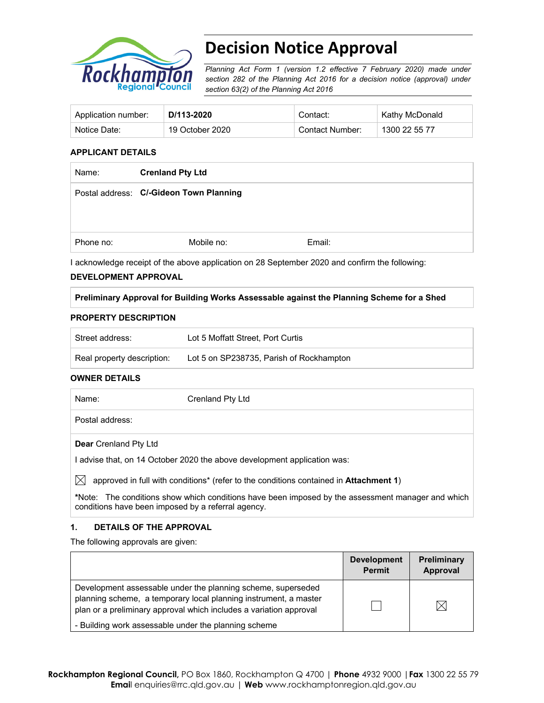

# **Decision Notice Approval**

*Planning Act Form 1 (version 1.2 effective 7 February 2020) made under section 282 of the Planning Act 2016 for a decision notice (approval) under section 63(2) of the Planning Act 2016*

| Application number: | D/113-2020      | Contact:        | Kathy McDonald |
|---------------------|-----------------|-----------------|----------------|
| Notice Date:        | 19 October 2020 | Contact Number: | 1300 22 55 77  |

### **APPLICANT DETAILS**

| Name:     | <b>Crenland Pty Ltd</b>                 |        |
|-----------|-----------------------------------------|--------|
|           | Postal address: C/-Gideon Town Planning |        |
|           |                                         |        |
| Phone no: | Mobile no:                              | Email: |

I acknowledge receipt of the above application on 28 September 2020 and confirm the following:

#### **DEVELOPMENT APPROVAL**

## **Preliminary Approval for Building Works Assessable against the Planning Scheme for a Shed**

#### **PROPERTY DESCRIPTION**

| Street address:            | Lot 5 Moffatt Street. Port Curtis        |
|----------------------------|------------------------------------------|
| Real property description: | Lot 5 on SP238735, Parish of Rockhampton |

#### **OWNER DETAILS**

| Name:                        | Crenland Pty Ltd |
|------------------------------|------------------|
| Postal address:              |                  |
| <b>Dear</b> Crenland Pty Ltd |                  |

I advise that, on 14 October 2020 the above development application was:

 $\boxtimes$  approved in full with conditions<sup>\*</sup> (refer to the conditions contained in **Attachment 1**)

**\***Note:The conditions show which conditions have been imposed by the assessment manager and which conditions have been imposed by a referral agency.

## **1. DETAILS OF THE APPROVAL**

The following approvals are given:

|                                                                                                                                                                                                        | <b>Development</b><br><b>Permit</b> | <b>Preliminary</b><br>Approval |
|--------------------------------------------------------------------------------------------------------------------------------------------------------------------------------------------------------|-------------------------------------|--------------------------------|
| Development assessable under the planning scheme, superseded<br>planning scheme, a temporary local planning instrument, a master<br>plan or a preliminary approval which includes a variation approval |                                     |                                |
| - Building work assessable under the planning scheme                                                                                                                                                   |                                     |                                |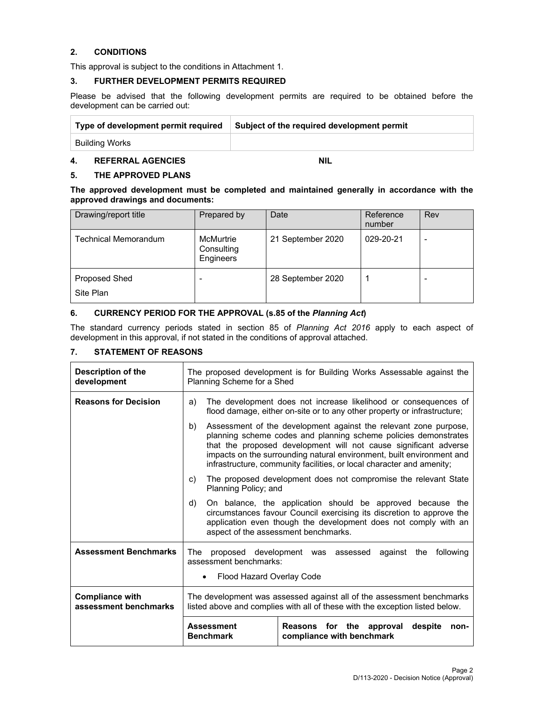## **2. CONDITIONS**

This approval is subject to the conditions in Attachment 1.

### **3. FURTHER DEVELOPMENT PERMITS REQUIRED**

Please be advised that the following development permits are required to be obtained before the development can be carried out:

| Type of development permit required | Subject of the required development permit |
|-------------------------------------|--------------------------------------------|
| Building Works                      |                                            |

# **4. REFERRAL AGENCIES NIL**

## **5. THE APPROVED PLANS**

**The approved development must be completed and maintained generally in accordance with the approved drawings and documents:** 

| Drawing/report title              | Prepared by                          | Date              | Reference<br>number | Rev            |
|-----------------------------------|--------------------------------------|-------------------|---------------------|----------------|
| <b>Technical Memorandum</b>       | McMurtrie<br>Consulting<br>Engineers | 21 September 2020 | 029-20-21           | $\blacksquare$ |
| <b>Proposed Shed</b><br>Site Plan | -                                    | 28 September 2020 |                     |                |

## **6. CURRENCY PERIOD FOR THE APPROVAL (s.85 of the** *Planning Act***)**

The standard currency periods stated in section 85 of *Planning Act 2016* apply to each aspect of development in this approval, if not stated in the conditions of approval attached.

## **7. STATEMENT OF REASONS**

| Description of the<br>development               | The proposed development is for Building Works Assessable against the<br>Planning Scheme for a Shed                                                                                                                                                                                                                                                             |  |  |
|-------------------------------------------------|-----------------------------------------------------------------------------------------------------------------------------------------------------------------------------------------------------------------------------------------------------------------------------------------------------------------------------------------------------------------|--|--|
| <b>Reasons for Decision</b>                     | The development does not increase likelihood or consequences of<br>a)<br>flood damage, either on-site or to any other property or infrastructure;                                                                                                                                                                                                               |  |  |
|                                                 | Assessment of the development against the relevant zone purpose,<br>b)<br>planning scheme codes and planning scheme policies demonstrates<br>that the proposed development will not cause significant adverse<br>impacts on the surrounding natural environment, built environment and<br>infrastructure, community facilities, or local character and amenity; |  |  |
|                                                 | The proposed development does not compromise the relevant State<br>C)<br>Planning Policy; and                                                                                                                                                                                                                                                                   |  |  |
|                                                 | On balance, the application should be approved because the<br>d)<br>circumstances favour Council exercising its discretion to approve the<br>application even though the development does not comply with an<br>aspect of the assessment benchmarks.                                                                                                            |  |  |
| <b>Assessment Benchmarks</b>                    | proposed development was assessed against the<br>The<br>following<br>assessment benchmarks:<br>Flood Hazard Overlay Code                                                                                                                                                                                                                                        |  |  |
| <b>Compliance with</b><br>assessment benchmarks | The development was assessed against all of the assessment benchmarks<br>listed above and complies with all of these with the exception listed below.                                                                                                                                                                                                           |  |  |
|                                                 | <b>Assessment</b><br>for the approval<br>despite<br><b>Reasons</b><br>non-<br><b>Benchmark</b><br>compliance with benchmark                                                                                                                                                                                                                                     |  |  |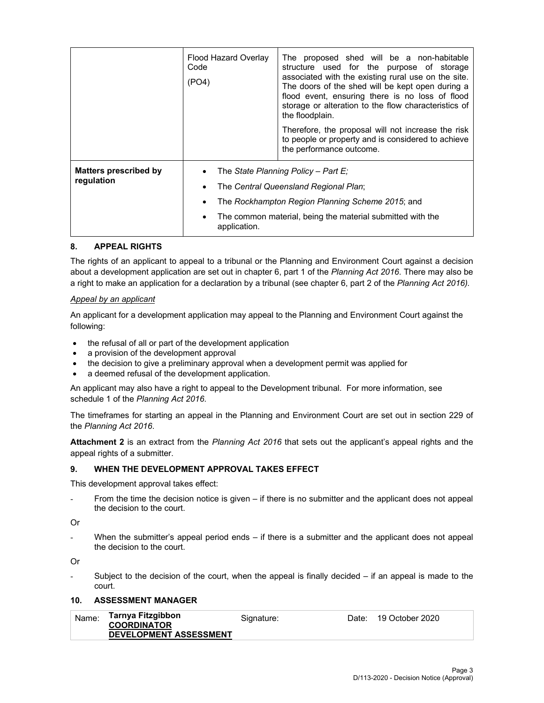|                                            | Flood Hazard Overlay<br>Code<br>(PO4) | The proposed shed will be a non-habitable<br>structure used for the purpose of storage<br>associated with the existing rural use on the site.<br>The doors of the shed will be kept open during a<br>flood event, ensuring there is no loss of flood<br>storage or alteration to the flow characteristics of<br>the floodplain. |
|--------------------------------------------|---------------------------------------|---------------------------------------------------------------------------------------------------------------------------------------------------------------------------------------------------------------------------------------------------------------------------------------------------------------------------------|
|                                            |                                       | Therefore, the proposal will not increase the risk<br>to people or property and is considered to achieve<br>the performance outcome.                                                                                                                                                                                            |
| <b>Matters prescribed by</b><br>regulation |                                       | The State Planning Policy - Part E:<br>The Central Queensland Regional Plan;                                                                                                                                                                                                                                                    |
|                                            |                                       | The Rockhampton Region Planning Scheme 2015; and                                                                                                                                                                                                                                                                                |
|                                            | application.                          | The common material, being the material submitted with the                                                                                                                                                                                                                                                                      |

## **8. APPEAL RIGHTS**

The rights of an applicant to appeal to a tribunal or the Planning and Environment Court against a decision about a development application are set out in chapter 6, part 1 of the *Planning Act 2016*. There may also be a right to make an application for a declaration by a tribunal (see chapter 6, part 2 of the *Planning Act 2016).*

## *Appeal by an applicant*

An applicant for a development application may appeal to the Planning and Environment Court against the following:

- the refusal of all or part of the development application
- a provision of the development approval
- the decision to give a preliminary approval when a development permit was applied for
- a deemed refusal of the development application.

An applicant may also have a right to appeal to the Development tribunal. For more information, see schedule 1 of the *Planning Act 2016*.

The timeframes for starting an appeal in the Planning and Environment Court are set out in section 229 of the *Planning Act 2016*.

**Attachment 2** is an extract from the *Planning Act 2016* that sets out the applicant's appeal rights and the appeal rights of a submitter.

## **9. WHEN THE DEVELOPMENT APPROVAL TAKES EFFECT**

This development approval takes effect:

From the time the decision notice is given  $-$  if there is no submitter and the applicant does not appeal the decision to the court.

Or

When the submitter's appeal period ends  $-$  if there is a submitter and the applicant does not appeal the decision to the court.

Or

Subject to the decision of the court, when the appeal is finally decided  $-$  if an appeal is made to the court.

## **10. ASSESSMENT MANAGER**

| Name: | Tarnya Fitzgibbon<br><b>COORDINATOR</b> | Signature: | Date: 19 October 2020 |
|-------|-----------------------------------------|------------|-----------------------|
|       | <b>DEVELOPMENT ASSESSMENT</b>           |            |                       |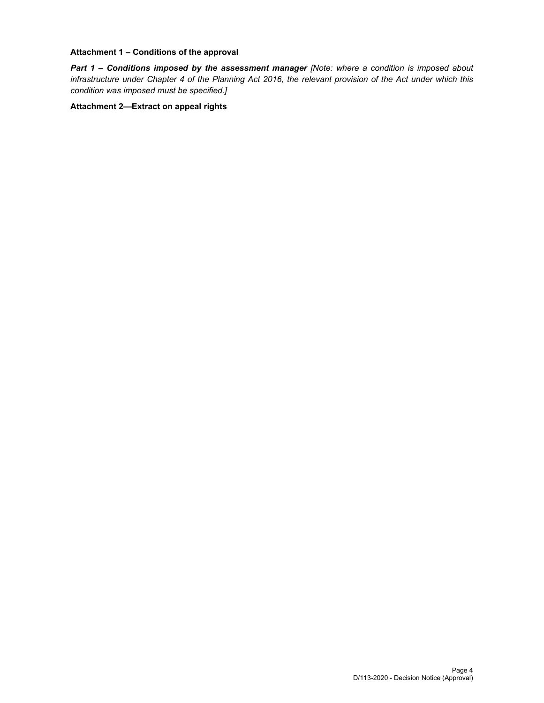### **Attachment 1 – Conditions of the approval**

*Part 1* **–** *Conditions imposed by the assessment manager [Note: where a condition is imposed about infrastructure under Chapter 4 of the Planning Act 2016, the relevant provision of the Act under which this condition was imposed must be specified.]*

### **Attachment 2—Extract on appeal rights**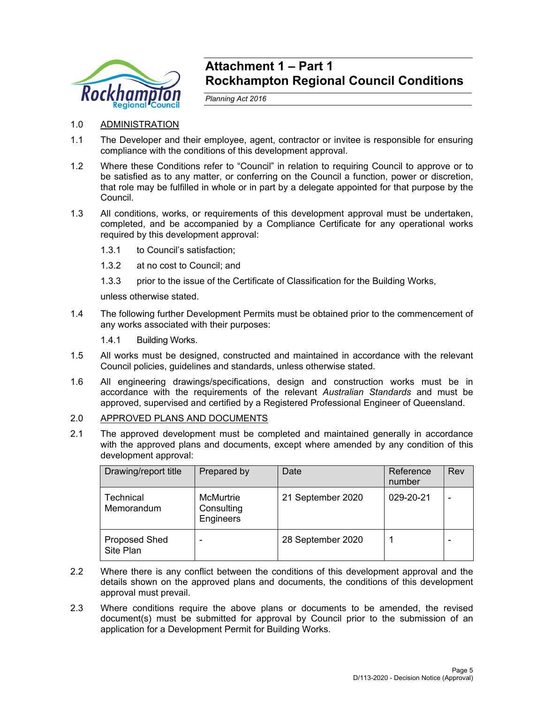

# **Attachment 1 – Part 1 Rockhampton Regional Council Conditions**

*Planning Act 2016* 

- 1.0 ADMINISTRATION
- 1.1 The Developer and their employee, agent, contractor or invitee is responsible for ensuring compliance with the conditions of this development approval.
- 1.2 Where these Conditions refer to "Council" in relation to requiring Council to approve or to be satisfied as to any matter, or conferring on the Council a function, power or discretion, that role may be fulfilled in whole or in part by a delegate appointed for that purpose by the Council.
- 1.3 All conditions, works, or requirements of this development approval must be undertaken, completed, and be accompanied by a Compliance Certificate for any operational works required by this development approval:
	- 1.3.1 to Council's satisfaction;
	- 1.3.2 at no cost to Council; and
	- 1.3.3 prior to the issue of the Certificate of Classification for the Building Works,

unless otherwise stated.

- 1.4 The following further Development Permits must be obtained prior to the commencement of any works associated with their purposes:
	- 1.4.1 Building Works.
- 1.5 All works must be designed, constructed and maintained in accordance with the relevant Council policies, guidelines and standards, unless otherwise stated.
- 1.6 All engineering drawings/specifications, design and construction works must be in accordance with the requirements of the relevant *Australian Standards* and must be approved, supervised and certified by a Registered Professional Engineer of Queensland.
- 2.0 APPROVED PLANS AND DOCUMENTS
- 2.1 The approved development must be completed and maintained generally in accordance with the approved plans and documents, except where amended by any condition of this development approval:

| Drawing/report title              | Prepared by                          | Date              | Reference<br>number | Rev |
|-----------------------------------|--------------------------------------|-------------------|---------------------|-----|
| Technical<br>Memorandum           | McMurtrie<br>Consulting<br>Engineers | 21 September 2020 | 029-20-21           |     |
| <b>Proposed Shed</b><br>Site Plan | $\overline{\phantom{0}}$             | 28 September 2020 |                     |     |

- 2.2 Where there is any conflict between the conditions of this development approval and the details shown on the approved plans and documents, the conditions of this development approval must prevail.
- 2.3 Where conditions require the above plans or documents to be amended, the revised document(s) must be submitted for approval by Council prior to the submission of an application for a Development Permit for Building Works.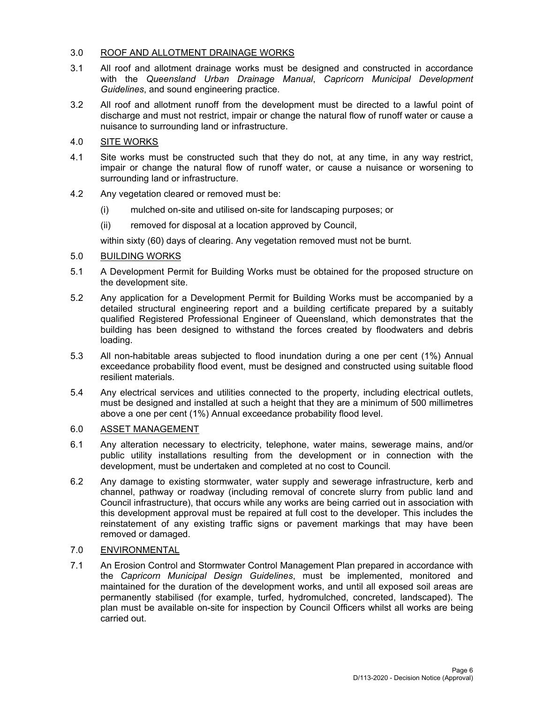## 3.0 ROOF AND ALLOTMENT DRAINAGE WORKS

- 3.1 All roof and allotment drainage works must be designed and constructed in accordance with the *Queensland Urban Drainage Manual*, *Capricorn Municipal Development Guidelines*, and sound engineering practice.
- 3.2 All roof and allotment runoff from the development must be directed to a lawful point of discharge and must not restrict, impair or change the natural flow of runoff water or cause a nuisance to surrounding land or infrastructure.

## 4.0 SITE WORKS

- 4.1 Site works must be constructed such that they do not, at any time, in any way restrict, impair or change the natural flow of runoff water, or cause a nuisance or worsening to surrounding land or infrastructure.
- 4.2 Any vegetation cleared or removed must be:
	- (i) mulched on-site and utilised on-site for landscaping purposes; or
	- (ii) removed for disposal at a location approved by Council,

within sixty (60) days of clearing. Any vegetation removed must not be burnt.

## 5.0 BUILDING WORKS

- 5.1 A Development Permit for Building Works must be obtained for the proposed structure on the development site.
- 5.2 Any application for a Development Permit for Building Works must be accompanied by a detailed structural engineering report and a building certificate prepared by a suitably qualified Registered Professional Engineer of Queensland, which demonstrates that the building has been designed to withstand the forces created by floodwaters and debris loading.
- 5.3 All non-habitable areas subjected to flood inundation during a one per cent (1%) Annual exceedance probability flood event, must be designed and constructed using suitable flood resilient materials.
- 5.4 Any electrical services and utilities connected to the property, including electrical outlets, must be designed and installed at such a height that they are a minimum of 500 millimetres above a one per cent (1%) Annual exceedance probability flood level.

# 6.0 ASSET MANAGEMENT

- 6.1 Any alteration necessary to electricity, telephone, water mains, sewerage mains, and/or public utility installations resulting from the development or in connection with the development, must be undertaken and completed at no cost to Council.
- 6.2 Any damage to existing stormwater, water supply and sewerage infrastructure, kerb and channel, pathway or roadway (including removal of concrete slurry from public land and Council infrastructure), that occurs while any works are being carried out in association with this development approval must be repaired at full cost to the developer. This includes the reinstatement of any existing traffic signs or pavement markings that may have been removed or damaged.

## 7.0 ENVIRONMENTAL

7.1 An Erosion Control and Stormwater Control Management Plan prepared in accordance with the *Capricorn Municipal Design Guidelines*, must be implemented, monitored and maintained for the duration of the development works, and until all exposed soil areas are permanently stabilised (for example, turfed, hydromulched, concreted, landscaped). The plan must be available on-site for inspection by Council Officers whilst all works are being carried out.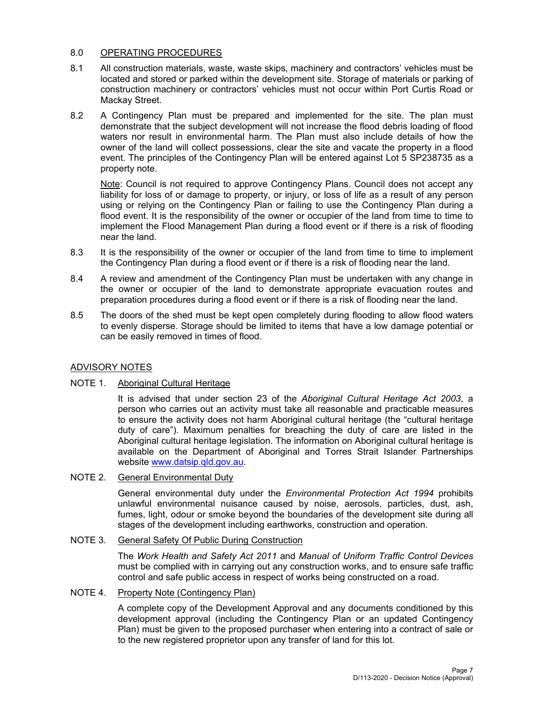## 8.0 OPERATING PROCEDURES

- 8.1 All construction materials, waste, waste skips, machinery and contractors' vehicles must be located and stored or parked within the development site. Storage of materials or parking of construction machinery or contractors' vehicles must not occur within Port Curtis Road or Mackay Street.
- 8.2 A Contingency Plan must be prepared and implemented for the site. The plan must demonstrate that the subject development will not increase the flood debris loading of flood waters nor result in environmental harm. The Plan must also include details of how the owner of the land will collect possessions, clear the site and vacate the property in a flood event. The principles of the Contingency Plan will be entered against Lot 5 SP238735 as a property note.

Note: Council is not required to approve Contingency Plans. Council does not accept any liability for loss of or damage to property, or injury, or loss of life as a result of any person using or relying on the Contingency Plan or failing to use the Contingency Plan during a flood event. It is the responsibility of the owner or occupier of the land from time to time to implement the Flood Management Plan during a flood event or if there is a risk of flooding near the land.

- 8.3 It is the responsibility of the owner or occupier of the land from time to time to implement the Contingency Plan during a flood event or if there is a risk of flooding near the land.
- 8.4 A review and amendment of the Contingency Plan must be undertaken with any change in the owner or occupier of the land to demonstrate appropriate evacuation routes and preparation procedures during a flood event or if there is a risk of flooding near the land.
- 8.5 The doors of the shed must be kept open completely during flooding to allow flood waters to evenly disperse. Storage should be limited to items that have a low damage potential or can be easily removed in times of flood.

## ADVISORY NOTES

## NOTE 1. Aboriginal Cultural Heritage

It is advised that under section 23 of the *Aboriginal Cultural Heritage Act 2003*, a person who carries out an activity must take all reasonable and practicable measures to ensure the activity does not harm Aboriginal cultural heritage (the "cultural heritage duty of care"). Maximum penalties for breaching the duty of care are listed in the Aboriginal cultural heritage legislation. The information on Aboriginal cultural heritage is available on the Department of Aboriginal and Torres Strait Islander Partnerships website www.datsip.qld.gov.au.

## NOTE 2. General Environmental Duty

General environmental duty under the *Environmental Protection Act 1994* prohibits unlawful environmental nuisance caused by noise, aerosols, particles, dust, ash, fumes, light, odour or smoke beyond the boundaries of the development site during all stages of the development including earthworks, construction and operation.

## NOTE 3. General Safety Of Public During Construction

The *Work Health and Safety Act 2011* and *Manual of Uniform Traffic Control Devices* must be complied with in carrying out any construction works, and to ensure safe traffic control and safe public access in respect of works being constructed on a road.

## NOTE 4. Property Note (Contingency Plan)

A complete copy of the Development Approval and any documents conditioned by this development approval (including the Contingency Plan or an updated Contingency Plan) must be given to the proposed purchaser when entering into a contract of sale or to the new registered proprietor upon any transfer of land for this lot.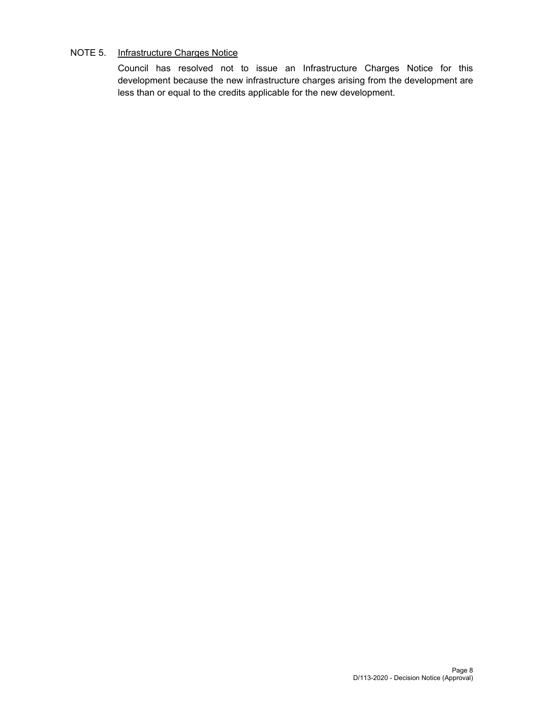## NOTE 5. Infrastructure Charges Notice

Council has resolved not to issue an Infrastructure Charges Notice for this development because the new infrastructure charges arising from the development are less than or equal to the credits applicable for the new development.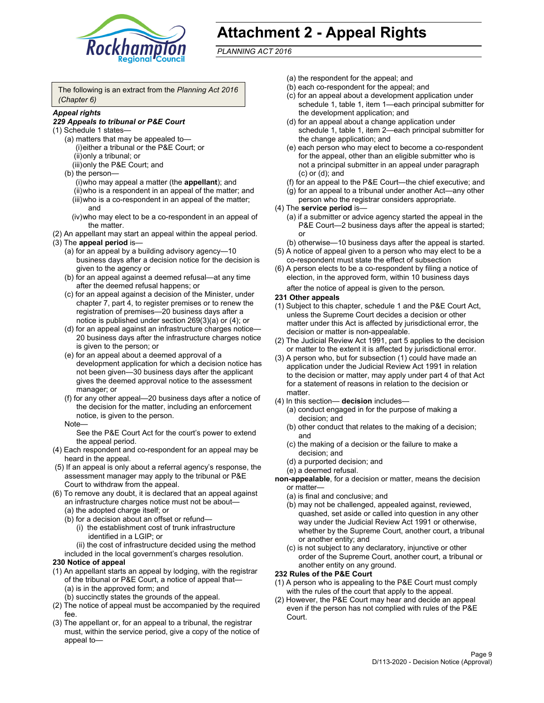

# **Attachment 2 - Appeal Rights**

*PLANNING ACT 2016*

The following is an extract from the *Planning Act 2016 (Chapter 6)*

## *Appeal rights*

#### *229 Appeals to tribunal or P&E Court*

- (1) Schedule 1 states—
	- (a) matters that may be appealed to— (i) either a tribunal or the P&E Court; or (ii) only a tribunal; or (iii) only the P&E Court; and
	- (b) the person—
		- (i) who may appeal a matter (the **appellant**); and
		- (ii) who is a respondent in an appeal of the matter; and (iii) who is a co-respondent in an appeal of the matter; and
		- (iv) who may elect to be a co-respondent in an appeal of the matter.
- (2) An appellant may start an appeal within the appeal period.
- (3) The **appeal period** is—
	- (a) for an appeal by a building advisory agency—10 business days after a decision notice for the decision is given to the agency or
	- (b) for an appeal against a deemed refusal—at any time after the deemed refusal happens; or
	- (c) for an appeal against a decision of the Minister, under chapter 7, part 4, to register premises or to renew the registration of premises—20 business days after a notice is published under section 269(3)(a) or (4); or
	- (d) for an appeal against an infrastructure charges notice— 20 business days after the infrastructure charges notice is given to the person; or
	- (e) for an appeal about a deemed approval of a development application for which a decision notice has not been given—30 business days after the applicant gives the deemed approval notice to the assessment manager; or
	- (f) for any other appeal—20 business days after a notice of the decision for the matter, including an enforcement notice, is given to the person.

#### Note—

See the P&E Court Act for the court's power to extend the appeal period.

- (4) Each respondent and co-respondent for an appeal may be heard in the appeal.
- (5) If an appeal is only about a referral agency's response, the assessment manager may apply to the tribunal or P&E Court to withdraw from the appeal.
- (6) To remove any doubt, it is declared that an appeal against an infrastructure charges notice must not be about— (a) the adopted charge itself; or
	- (b) for a decision about an offset or refund—
		- (i) the establishment cost of trunk infrastructure identified in a LGIP; or
		- (ii) the cost of infrastructure decided using the method
	- included in the local government's charges resolution.

## **230 Notice of appeal**

- (1) An appellant starts an appeal by lodging, with the registrar of the tribunal or P&E Court, a notice of appeal that— (a) is in the approved form; and
	- (b) succinctly states the grounds of the appeal.
- (2) The notice of appeal must be accompanied by the required fee.
- (3) The appellant or, for an appeal to a tribunal, the registrar must, within the service period, give a copy of the notice of appeal to—
- (a) the respondent for the appeal; and
- (b) each co-respondent for the appeal; and
- (c) for an appeal about a development application under schedule 1, table 1, item 1—each principal submitter for the development application; and
- (d) for an appeal about a change application under schedule 1, table 1, item 2—each principal submitter for the change application; and
- (e) each person who may elect to become a co-respondent for the appeal, other than an eligible submitter who is not a principal submitter in an appeal under paragraph (c) or (d); and
- (f) for an appeal to the P&E Court—the chief executive; and
- (g) for an appeal to a tribunal under another Act—any other person who the registrar considers appropriate.
- (4) The **service period** is—
	- (a) if a submitter or advice agency started the appeal in the P&E Court-2 business days after the appeal is started; or
	- (b) otherwise—10 business days after the appeal is started.
- (5) A notice of appeal given to a person who may elect to be a co-respondent must state the effect of subsection
- (6) A person elects to be a co-respondent by filing a notice of election, in the approved form, within 10 business days
	- after the notice of appeal is given to the person*.*
- **231 Other appeals**
- (1) Subject to this chapter, schedule 1 and the P&E Court Act, unless the Supreme Court decides a decision or other matter under this Act is affected by jurisdictional error, the decision or matter is non-appealable.
- (2) The Judicial Review Act 1991, part 5 applies to the decision or matter to the extent it is affected by jurisdictional error.
- (3) A person who, but for subsection (1) could have made an application under the Judicial Review Act 1991 in relation to the decision or matter, may apply under part 4 of that Act for a statement of reasons in relation to the decision or matter.
- (4) In this section— **decision** includes—
	- (a) conduct engaged in for the purpose of making a decision; and
	- (b) other conduct that relates to the making of a decision; and
	- (c) the making of a decision or the failure to make a decision; and
	- (d) a purported decision; and
	- (e) a deemed refusal.

**non-appealable**, for a decision or matter, means the decision or matter—

- (a) is final and conclusive; and
- (b) may not be challenged, appealed against, reviewed, quashed, set aside or called into question in any other way under the Judicial Review Act 1991 or otherwise, whether by the Supreme Court, another court, a tribunal or another entity; and
- (c) is not subject to any declaratory, injunctive or other order of the Supreme Court, another court, a tribunal or another entity on any ground.

#### **232 Rules of the P&E Court**

- (1) A person who is appealing to the P&E Court must comply with the rules of the court that apply to the appeal.
- (2) However, the P&E Court may hear and decide an appeal even if the person has not complied with rules of the P&E Court.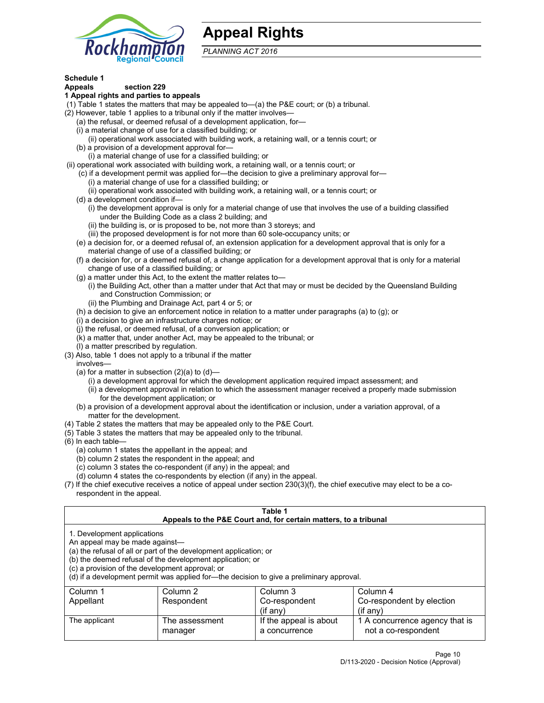

# **Appeal Rights**

*PLANNING ACT 2016*

# **Schedule 1**

# **Appeals section 229**

- **1 Appeal rights and parties to appeals**
- (1) Table 1 states the matters that may be appealed to—(a) the P&E court; or (b) a tribunal.
- (2) However, table 1 applies to a tribunal only if the matter involves—
	- (a) the refusal, or deemed refusal of a development application, for—
	- (i) a material change of use for a classified building; or
	- (ii) operational work associated with building work, a retaining wall, or a tennis court; or
	- (b) a provision of a development approval for—
	- (i) a material change of use for a classified building; or
- (ii) operational work associated with building work, a retaining wall, or a tennis court; or
	- (c) if a development permit was applied for—the decision to give a preliminary approval for—
		- (i) a material change of use for a classified building; or
	- (ii) operational work associated with building work, a retaining wall, or a tennis court; or
	- (d) a development condition if—
		- (i) the development approval is only for a material change of use that involves the use of a building classified under the Building Code as a class 2 building; and
		- (ii) the building is, or is proposed to be, not more than 3 storeys; and
		- (iii) the proposed development is for not more than 60 sole-occupancy units; or
	- (e) a decision for, or a deemed refusal of, an extension application for a development approval that is only for a material change of use of a classified building; or
	- (f) a decision for, or a deemed refusal of, a change application for a development approval that is only for a material change of use of a classified building; or
	- (g) a matter under this Act, to the extent the matter relates to—
		- (i) the Building Act, other than a matter under that Act that may or must be decided by the Queensland Building and Construction Commission; or
		- (ii) the Plumbing and Drainage Act, part 4 or 5; or
	- (h) a decision to give an enforcement notice in relation to a matter under paragraphs (a) to (g); or
	- (i) a decision to give an infrastructure charges notice; or
	- (j) the refusal, or deemed refusal, of a conversion application; or
	- (k) a matter that, under another Act, may be appealed to the tribunal; or
	- (l) a matter prescribed by regulation.
- (3) Also, table 1 does not apply to a tribunal if the matter
	- involves—
		- (a) for a matter in subsection  $(2)(a)$  to  $(d)$ 
			- (i) a development approval for which the development application required impact assessment; and
			- (ii) a development approval in relation to which the assessment manager received a properly made submission for the development application; or
	- (b) a provision of a development approval about the identification or inclusion, under a variation approval, of a matter for the development.
- (4) Table 2 states the matters that may be appealed only to the P&E Court.
- (5) Table 3 states the matters that may be appealed only to the tribunal.
- (6) In each table—
	- (a) column 1 states the appellant in the appeal; and
	- (b) column 2 states the respondent in the appeal; and
	- (c) column 3 states the co-respondent (if any) in the appeal; and
	- (d) column 4 states the co-respondents by election (if any) in the appeal.
- (7) If the chief executive receives a notice of appeal under section 230(3)(f), the chief executive may elect to be a corespondent in the appeal.

| Table 1<br>Appeals to the P&E Court and, for certain matters, to a tribunal                                      |                                                                                                                                |                                                                                          |                                                       |  |  |
|------------------------------------------------------------------------------------------------------------------|--------------------------------------------------------------------------------------------------------------------------------|------------------------------------------------------------------------------------------|-------------------------------------------------------|--|--|
| 1. Development applications<br>An appeal may be made against-<br>(c) a provision of the development approval; or | (a) the refusal of all or part of the development application; or<br>(b) the deemed refusal of the development application; or | (d) if a development permit was applied for-the decision to give a preliminary approval. |                                                       |  |  |
| Column 1                                                                                                         | Column 2                                                                                                                       | Column 3                                                                                 | Column 4                                              |  |  |
| Co-respondent<br>Respondent<br>Co-respondent by election<br>Appellant<br>$($ if anv $)$<br>$(i$ f anv $)$        |                                                                                                                                |                                                                                          |                                                       |  |  |
| The applicant                                                                                                    | The assessment<br>manager                                                                                                      | If the appeal is about<br>a concurrence                                                  | 1 A concurrence agency that is<br>not a co-respondent |  |  |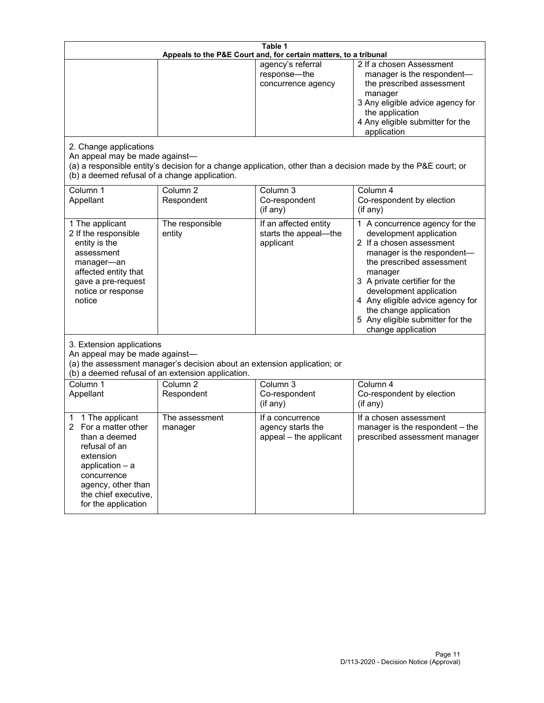| Table 1<br>Appeals to the P&E Court and, for certain matters, to a tribunal                                                                                                                                                                             |                                     |                                                                         |                                                                                                                                                                                                                                                                                                                                                             |  |
|---------------------------------------------------------------------------------------------------------------------------------------------------------------------------------------------------------------------------------------------------------|-------------------------------------|-------------------------------------------------------------------------|-------------------------------------------------------------------------------------------------------------------------------------------------------------------------------------------------------------------------------------------------------------------------------------------------------------------------------------------------------------|--|
| 2. Change applications<br>An appeal may be made against-                                                                                                                                                                                                |                                     | agency's referral<br>response-the<br>concurrence agency                 | 2 If a chosen Assessment<br>manager is the respondent-<br>the prescribed assessment<br>manager<br>3 Any eligible advice agency for<br>the application<br>4 Any eligible submitter for the<br>application<br>(a) a responsible entity's decision for a change application, other than a decision made by the P&E court; or                                   |  |
| (b) a deemed refusal of a change application.<br>Column 1<br>Appellant                                                                                                                                                                                  | Column $\overline{2}$<br>Respondent | Column 3<br>Co-respondent                                               | Column 4<br>Co-respondent by election                                                                                                                                                                                                                                                                                                                       |  |
| 1 The applicant<br>2 If the responsible<br>entity is the<br>assessment<br>manager-an<br>affected entity that<br>gave a pre-request<br>notice or response<br>notice                                                                                      | The responsible<br>entity           | (if any)<br>If an affected entity<br>starts the appeal-the<br>applicant | (if any)<br>1 A concurrence agency for the<br>development application<br>2 If a chosen assessment<br>manager is the respondent-<br>the prescribed assessment<br>manager<br>3 A private certifier for the<br>development application<br>4 Any eligible advice agency for<br>the change application<br>5 Any eligible submitter for the<br>change application |  |
| 3. Extension applications<br>An appeal may be made against-<br>(a) the assessment manager's decision about an extension application; or<br>(b) a deemed refusal of an extension application.<br>Column 1<br>Column 3<br>Column <sub>2</sub><br>Column 4 |                                     |                                                                         |                                                                                                                                                                                                                                                                                                                                                             |  |
| Appellant                                                                                                                                                                                                                                               | Respondent                          | Co-respondent<br>(if any)                                               | Co-respondent by election<br>(if any)                                                                                                                                                                                                                                                                                                                       |  |
| 1 The applicant<br>1<br>For a matter other<br>than a deemed<br>refusal of an<br>extension<br>application $-$ a<br>concurrence<br>agency, other than<br>the chief executive,<br>for the application                                                      | The assessment<br>manager           | If a concurrence<br>agency starts the<br>appeal - the applicant         | If a chosen assessment<br>manager is the respondent - the<br>prescribed assessment manager                                                                                                                                                                                                                                                                  |  |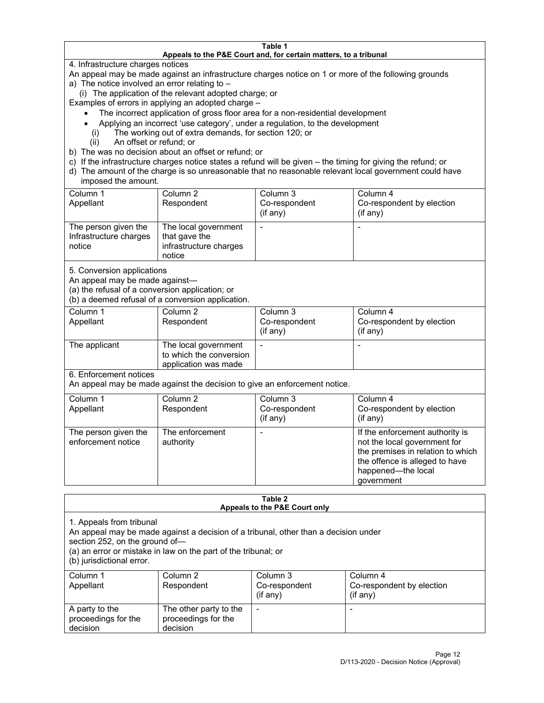#### **Table 1 Appeals to the P&E Court and, for certain matters, to a tribunal**

4. Infrastructure charges notices

An appeal may be made against an infrastructure charges notice on 1 or more of the following grounds

- a) The notice involved an error relating to  $-$ 
	- (i) The application of the relevant adopted charge; or

Examples of errors in applying an adopted charge –

- The incorrect application of gross floor area for a non-residential development
- Applying an incorrect 'use category', under a regulation, to the development
- (i) The working out of extra demands, for section 120; or
- (ii) An offset or refund; or
- b) The was no decision about an offset or refund; or
- c) If the infrastructure charges notice states a refund will be given the timing for giving the refund; or
- d) The amount of the charge is so unreasonable that no reasonable relevant local government could have imposed the amount.

| Column 1<br>Appellant                                    | Column 2<br>Respondent                                                    | Column 3<br>Co-respondent<br>(if any) | Column 4<br>Co-respondent by election<br>(i f any) |
|----------------------------------------------------------|---------------------------------------------------------------------------|---------------------------------------|----------------------------------------------------|
| The person given the<br>Infrastructure charges<br>notice | The local government<br>that gave the<br>infrastructure charges<br>notice |                                       |                                                    |

5. Conversion applications

An appeal may be made against—

(a) the refusal of a conversion application; or

(b) a deemed refusal of a conversion application.

| Column 1      | Column 2                | Column 3       | Column 4                  |
|---------------|-------------------------|----------------|---------------------------|
| Appellant     | Respondent              | Co-respondent  | Co-respondent by election |
|               |                         | $($ if any $)$ | $($ if any $)$            |
|               |                         |                |                           |
| The applicant | The local government    |                |                           |
|               | to which the conversion |                |                           |
|               | application was made    |                |                           |

6. Enforcement notices

An appeal may be made against the decision to give an enforcement notice.

| Column 1<br>Appellant                      | Column 2<br>Respondent       | Column 3<br>Co-respondent<br>(if any) | Column 4<br>Co-respondent by election<br>(i f any)                                                                                                                         |
|--------------------------------------------|------------------------------|---------------------------------------|----------------------------------------------------------------------------------------------------------------------------------------------------------------------------|
| The person given the<br>enforcement notice | The enforcement<br>authority |                                       | If the enforcement authority is<br>not the local government for<br>the premises in relation to which<br>the offence is alleged to have<br>happened-the local<br>government |

#### **Table 2 Appeals to the P&E Court only**

1. Appeals from tribunal

An appeal may be made against a decision of a tribunal, other than a decision under

section 252, on the ground of—

(a) an error or mistake in law on the part of the tribunal; or

(b) jurisdictional error.

| Column 1<br>Appellant                             | Column 2<br>Respondent                                    | Column 3<br>Co-respondent<br>$(if$ any) | Column 4<br>Co-respondent by election<br>$(if$ any) |
|---------------------------------------------------|-----------------------------------------------------------|-----------------------------------------|-----------------------------------------------------|
| A party to the<br>proceedings for the<br>decision | The other party to the<br>proceedings for the<br>decision | $\overline{\phantom{a}}$                |                                                     |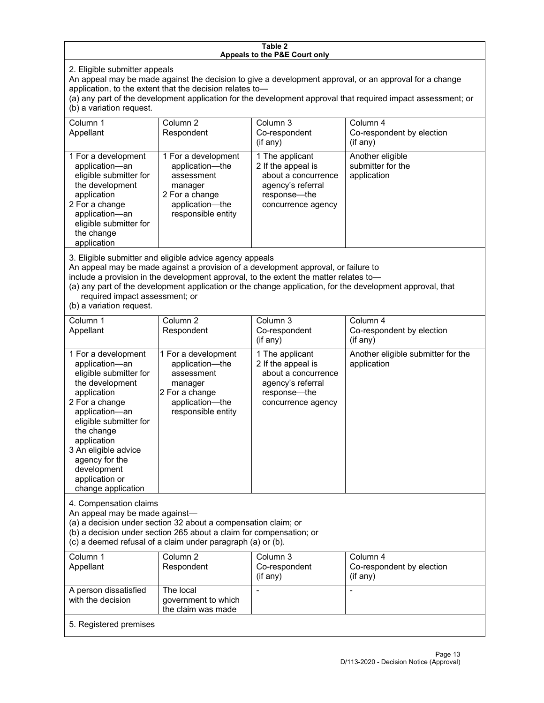#### **Table 2 Appeals to the P&E Court only**

2. Eligible submitter appeals

An appeal may be made against the decision to give a development approval, or an approval for a change application, to the extent that the decision relates to—

(a) any part of the development application for the development approval that required impact assessment; or (b) a variation request.

| Column 1<br>Appellant                                                                                                                                                                        | Column 2<br>Respondent                                                                                                     | Column 3<br>Co-respondent<br>$($ if any $)$                                                                             | Column 4<br>Co-respondent by election<br>(if any)    |
|----------------------------------------------------------------------------------------------------------------------------------------------------------------------------------------------|----------------------------------------------------------------------------------------------------------------------------|-------------------------------------------------------------------------------------------------------------------------|------------------------------------------------------|
| 1 For a development<br>application-an<br>eligible submitter for<br>the development<br>application<br>2 For a change<br>application-an<br>eligible submitter for<br>the change<br>application | 1 For a development<br>application-the<br>assessment<br>manager<br>2 For a change<br>application-the<br>responsible entity | 1 The applicant<br>2 If the appeal is<br>about a concurrence<br>agency's referral<br>response—the<br>concurrence agency | Another eligible<br>submitter for the<br>application |

3. Eligible submitter and eligible advice agency appeals

An appeal may be made against a provision of a development approval, or failure to

include a provision in the development approval, to the extent the matter relates to—

(a) any part of the development application or the change application, for the development approval, that required impact assessment; or

(b) a variation request.

| Column 1<br>Appellant                                                                                                                                                                                                                                                                         | Column <sub>2</sub><br>Respondent                                                                                          | Column 3<br>Co-respondent<br>(if any)                                                                                     | Column 4<br>Co-respondent by election<br>(if any) |
|-----------------------------------------------------------------------------------------------------------------------------------------------------------------------------------------------------------------------------------------------------------------------------------------------|----------------------------------------------------------------------------------------------------------------------------|---------------------------------------------------------------------------------------------------------------------------|---------------------------------------------------|
| 1 For a development<br>application-an<br>eligible submitter for<br>the development<br>application<br>2 For a change<br>application-an<br>eligible submitter for<br>the change<br>application<br>3 An eligible advice<br>agency for the<br>development<br>application or<br>change application | 1 For a development<br>application-the<br>assessment<br>manager<br>2 For a change<br>application-the<br>responsible entity | 1 The applicant<br>2 If the appeal is<br>about a concurrence<br>agency's referral<br>response---the<br>concurrence agency | Another eligible submitter for the<br>application |
| 4. Compensation claims<br>An appeal may be made against-<br>(a) a decision under section 32 about a compensation claim; or<br>(b) a decision under section 265 about a claim for compensation; or<br>(c) a deemed refusal of a claim under paragraph (a) or (b).                              |                                                                                                                            |                                                                                                                           |                                                   |
| Column <sub>1</sub><br>Appellant                                                                                                                                                                                                                                                              | Column <sub>2</sub><br>Respondent                                                                                          | Column <sub>3</sub><br>Co-respondent<br>(if any)                                                                          | Column 4<br>Co-respondent by election<br>(if any) |
| A person dissatisfied<br>with the decision                                                                                                                                                                                                                                                    | The local<br>government to which<br>the claim was made                                                                     |                                                                                                                           |                                                   |
| 5. Registered premises                                                                                                                                                                                                                                                                        |                                                                                                                            |                                                                                                                           |                                                   |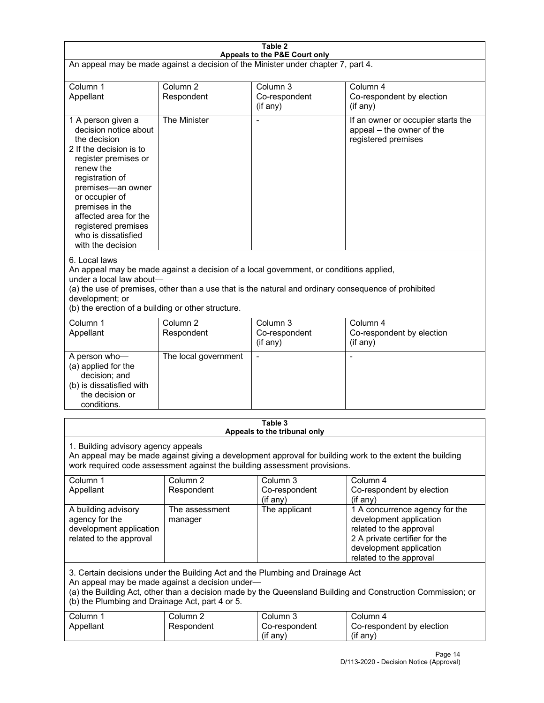| Table 2<br>Appeals to the P&E Court only                                                                                                                                                                                                                                                                             |                                   |                                                  |                                                                                                                                                                             |  |
|----------------------------------------------------------------------------------------------------------------------------------------------------------------------------------------------------------------------------------------------------------------------------------------------------------------------|-----------------------------------|--------------------------------------------------|-----------------------------------------------------------------------------------------------------------------------------------------------------------------------------|--|
| An appeal may be made against a decision of the Minister under chapter 7, part 4.                                                                                                                                                                                                                                    |                                   |                                                  |                                                                                                                                                                             |  |
| Column 1<br>Appellant                                                                                                                                                                                                                                                                                                | Column <sub>2</sub><br>Respondent | Column <sub>3</sub><br>Co-respondent<br>(if any) | Column 4<br>Co-respondent by election<br>(if any)                                                                                                                           |  |
| 1 A person given a<br>decision notice about<br>the decision<br>2 If the decision is to<br>register premises or<br>renew the<br>registration of<br>premises-an owner<br>or occupier of<br>premises in the<br>affected area for the<br>registered premises<br>who is dissatisfied<br>with the decision                 | The Minister                      | Ĭ.                                               | If an owner or occupier starts the<br>appeal - the owner of the<br>registered premises                                                                                      |  |
| 6. Local laws<br>An appeal may be made against a decision of a local government, or conditions applied,<br>under a local law about-<br>(a) the use of premises, other than a use that is the natural and ordinary consequence of prohibited<br>development; or<br>(b) the erection of a building or other structure. |                                   |                                                  |                                                                                                                                                                             |  |
| Column 1<br>Appellant                                                                                                                                                                                                                                                                                                | Column <sub>2</sub><br>Respondent | Column <sub>3</sub><br>Co-respondent<br>(if any) | Column 4<br>Co-respondent by election<br>(if any)                                                                                                                           |  |
| A person who-<br>(a) applied for the<br>decision; and<br>(b) is dissatisfied with<br>the decision or<br>conditions.                                                                                                                                                                                                  | The local government              | L,                                               | $\overline{a}$                                                                                                                                                              |  |
|                                                                                                                                                                                                                                                                                                                      |                                   | Table 3<br>Appeals to the tribunal only          |                                                                                                                                                                             |  |
| 1. Building advisory agency appeals<br>An appeal may be made against giving a development approval for building work to the extent the building<br>work required code assessment against the building assessment provisions.                                                                                         |                                   |                                                  |                                                                                                                                                                             |  |
| Column 1<br>Appellant                                                                                                                                                                                                                                                                                                | Column <sub>2</sub><br>Respondent | Column 3<br>Co-respondent<br>(if any)            | Column 4<br>Co-respondent by election<br>(if any)                                                                                                                           |  |
| A building advisory<br>agency for the<br>development application<br>related to the approval                                                                                                                                                                                                                          | The assessment<br>manager         | The applicant                                    | 1 A concurrence agency for the<br>development application<br>related to the approval<br>2 A private certifier for the<br>development application<br>related to the approval |  |
| 3. Certain decisions under the Building Act and the Plumbing and Drainage Act<br>An appeal may be made against a decision under-<br>(a) the Building Act, other than a decision made by the Queensland Building and Construction Commission; or<br>(b) the Plumbing and Drainage Act, part 4 or 5.                   |                                   |                                                  |                                                                                                                                                                             |  |
| Column 1<br>Appellant                                                                                                                                                                                                                                                                                                | Column <sub>2</sub><br>Respondent | Column 3<br>Co-respondent<br>(if any)            | Column 4<br>Co-respondent by election<br>(if any)                                                                                                                           |  |